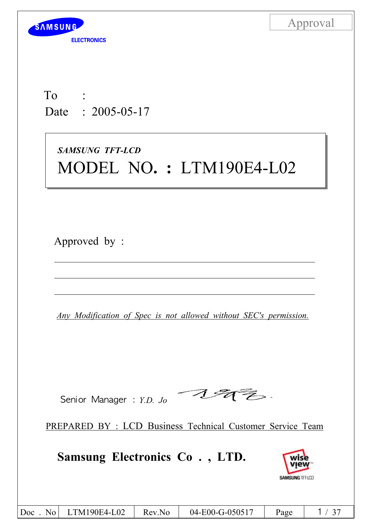

To : Date : 2005-05-17

# *SAMSUNG TFT-LCD* MODEL NO**. :** LTM190E4-L02

Approved by :

*Any Modification of Spec is not allowed without SEC's permission.*

へゅん Senior Manager : *Y.D. Jo* 

PREPARED BY : LCD Business Technical Customer Service Team

**Samsung Electronics Co . , LTD.**



|  | $\vert$ Doc<br>$\overline{N_0}$ | LTM190E4-L02 | Rev.No | 04-E00-G-050517 | Page |  |
|--|---------------------------------|--------------|--------|-----------------|------|--|
|--|---------------------------------|--------------|--------|-----------------|------|--|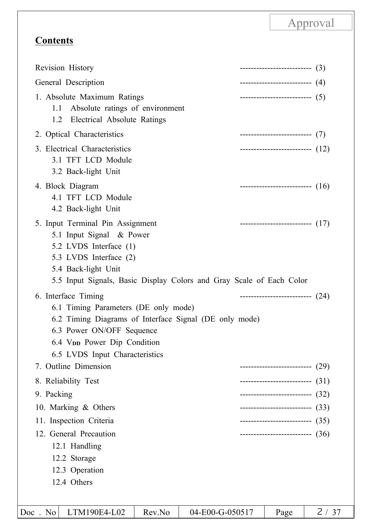## **Contents**

|                                                        | --------------------------- (4)<br>---------------------------- (5)<br>--------------------------- (7)<br>---------------------------- $(12)$ |                                                                                                                                                                                                                                                                                                                                                                          |
|--------------------------------------------------------|-----------------------------------------------------------------------------------------------------------------------------------------------|--------------------------------------------------------------------------------------------------------------------------------------------------------------------------------------------------------------------------------------------------------------------------------------------------------------------------------------------------------------------------|
|                                                        |                                                                                                                                               |                                                                                                                                                                                                                                                                                                                                                                          |
|                                                        |                                                                                                                                               |                                                                                                                                                                                                                                                                                                                                                                          |
|                                                        |                                                                                                                                               |                                                                                                                                                                                                                                                                                                                                                                          |
|                                                        |                                                                                                                                               |                                                                                                                                                                                                                                                                                                                                                                          |
|                                                        | ----------------------------- $(16)$                                                                                                          |                                                                                                                                                                                                                                                                                                                                                                          |
|                                                        |                                                                                                                                               |                                                                                                                                                                                                                                                                                                                                                                          |
| 6.2 Timing Diagrams of Interface Signal (DE only mode) |                                                                                                                                               |                                                                                                                                                                                                                                                                                                                                                                          |
|                                                        |                                                                                                                                               | (29)                                                                                                                                                                                                                                                                                                                                                                     |
|                                                        |                                                                                                                                               |                                                                                                                                                                                                                                                                                                                                                                          |
|                                                        |                                                                                                                                               |                                                                                                                                                                                                                                                                                                                                                                          |
|                                                        |                                                                                                                                               |                                                                                                                                                                                                                                                                                                                                                                          |
|                                                        |                                                                                                                                               |                                                                                                                                                                                                                                                                                                                                                                          |
|                                                        |                                                                                                                                               |                                                                                                                                                                                                                                                                                                                                                                          |
|                                                        |                                                                                                                                               |                                                                                                                                                                                                                                                                                                                                                                          |
|                                                        |                                                                                                                                               | ---------------------------- $(17)$<br>5.5 Input Signals, Basic Display Colors and Gray Scale of Each Color<br>---------------------------- $(24)$<br>--------------------------<br>---------------------------- $(31)$<br>--------------------------- (32)<br>--------------------------- (33)<br>--------------------------- (35)<br>---------------------------- (36) |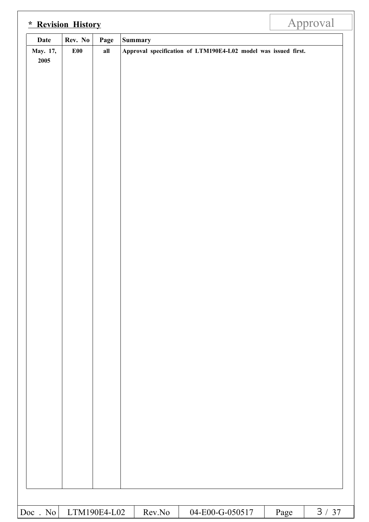| <b>Date</b>      | Rev. No | Page | <b>Summary</b> |  |  |                                                                |  |
|------------------|---------|------|----------------|--|--|----------------------------------------------------------------|--|
| May. 17,<br>2005 | E00     | all  |                |  |  | Approval specification of LTM190E4-L02 model was issued first. |  |
|                  |         |      |                |  |  |                                                                |  |
|                  |         |      |                |  |  |                                                                |  |
|                  |         |      |                |  |  |                                                                |  |
|                  |         |      |                |  |  |                                                                |  |
|                  |         |      |                |  |  |                                                                |  |
|                  |         |      |                |  |  |                                                                |  |
|                  |         |      |                |  |  |                                                                |  |
|                  |         |      |                |  |  |                                                                |  |
|                  |         |      |                |  |  |                                                                |  |
|                  |         |      |                |  |  |                                                                |  |
|                  |         |      |                |  |  |                                                                |  |
|                  |         |      |                |  |  |                                                                |  |
|                  |         |      |                |  |  |                                                                |  |
|                  |         |      |                |  |  |                                                                |  |
|                  |         |      |                |  |  |                                                                |  |
|                  |         |      |                |  |  |                                                                |  |
|                  |         |      |                |  |  |                                                                |  |
|                  |         |      |                |  |  |                                                                |  |
|                  |         |      |                |  |  |                                                                |  |
|                  |         |      |                |  |  |                                                                |  |
|                  |         |      |                |  |  |                                                                |  |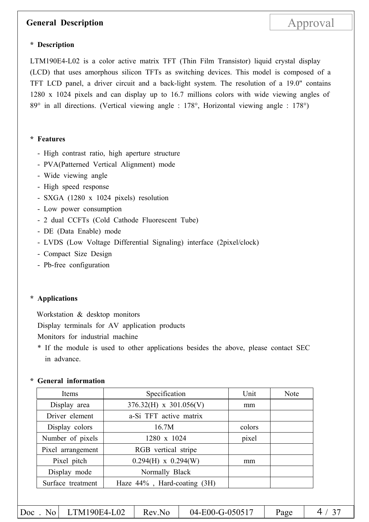### **General Description** Approval

### **\* Description**

LTM190E4-L02 is a color active matrix TFT (Thin Film Transistor) liquid crystal display (LCD) that uses amorphous silicon TFTs as switching devices. This model is composed of a TFT LCD panel, a driver circuit and a back-light system. The resolution of a 19.0" contains 1280 x 1024 pixels and can display up to 16.7 millions colors with wide viewing angles of 89° in all directions. (Vertical viewing angle : 178°, Horizontal viewing angle : 178°)

#### **\* Features**

- High contrast ratio, high aperture structure
- PVA(Patterned Vertical Alignment) mode
- Wide viewing angle
- High speed response
- SXGA (1280 x 1024 pixels) resolution
- Low power consumption
- 2 dual CCFTs (Cold Cathode Fluorescent Tube)
- DE (Data Enable) mode
- LVDS (Low Voltage Differential Signaling) interface (2pixel/clock)
- Compact Size Design
- Pb-free configuration

#### **\* Applications**

Workstation & desktop monitors

Display terminals for AV application products

Monitors for industrial machine

\* If the module is used to other applications besides the above, please contact SEC in advance.

#### **\* General information**

| Items             | Specification               | Unit   | <b>Note</b> |
|-------------------|-----------------------------|--------|-------------|
| Display area      | $376.32(H)$ x $301.056(V)$  | mm     |             |
| Driver element    | a-Si TFT active matrix      |        |             |
| Display colors    | 16.7M                       | colors |             |
| Number of pixels  | 1280 x 1024                 | pixel  |             |
| Pixel arrangement | RGB vertical stripe         |        |             |
| Pixel pitch       | $0.294(H)$ x $0.294(W)$     | mm     |             |
| Display mode      | Normally Black              |        |             |
| Surface treatment | Haze 44%, Hard-coating (3H) |        |             |
|                   |                             |        |             |

Doc. No LTM190E4-L02 Rev.No 04-E00-G-050517 Page 4/37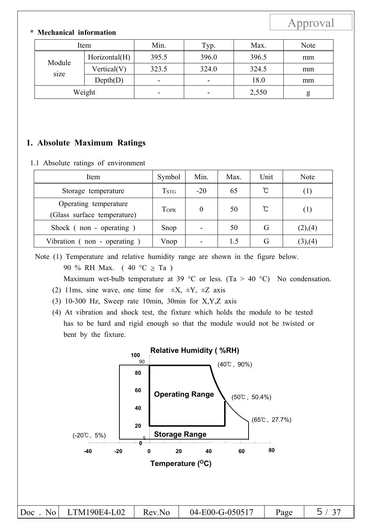### **\* Mechanical information**

| Item           |                | Min.<br>Typ. |                          | Max.  | Note |
|----------------|----------------|--------------|--------------------------|-------|------|
|                | Horizontal(H)  | 395.5        | 396.0                    | 396.5 | mm   |
| Module<br>size | Vertical $(V)$ | 323.5        | 324.0                    | 324.5 | mm   |
|                | Depth(D)       | -            | $\overline{\phantom{a}}$ | 18.0  | mm   |
|                | Weight         | -            | $\overline{\phantom{a}}$ | 2,550 | g    |

### **1. Absolute Maximum Ratings**

#### 1.1 Absolute ratings of environment

| Item                                                 | Symbol                          | Min.  | Max. | Unit | <b>Note</b> |
|------------------------------------------------------|---------------------------------|-------|------|------|-------------|
| Storage temperature                                  | $\operatorname{T}_{\text{STG}}$ | $-20$ | 65   | °C   | ( 1 )       |
| Operating temperature<br>(Glass surface temperature) | Topr                            | 0     | 50   | ပ    | (1)         |
| Shock (non - operating)                              | Snop                            |       | 50   | G    | (2),(4)     |
| Vibration $($ non - operating $)$                    | Vnop                            |       | 1.5  | G    | (3), (4)    |

Note (1) Temperature and relative humidity range are shown in the figure below. 90 % RH Max. (40 °C  $\geq$  Ta ) Maximum wet-bulb temperature at 39 °C or less. (Ta > 40 °C) No condensation.

- (2) 11ms, sine wave, one time for  $\pm X$ ,  $\pm Y$ ,  $\pm Z$  axis
- (3) 10-300 Hz, Sweep rate 10min, 30min for X,Y,Z axis
- (4) At vibration and shock test, the fixture which holds the module to be tested has to be hard and rigid enough so that the module would not be twisted or bent by the fixture.

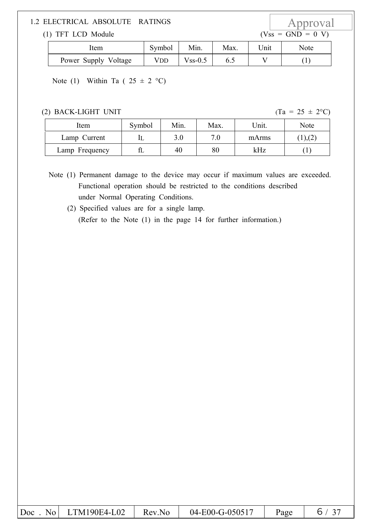# 1.2 ELECTRICAL ABSOLUTE RATINGS  $\begin{array}{c|c}\n\text{Approxal} \\
\text{(1) TFT LCD Module} \\
\end{array}$

 $(1)$  TFT LCD Module

| Item                 | Symbol | Min.          | Max. | 'Jnit | Note |
|----------------------|--------|---------------|------|-------|------|
| Power Supply Voltage | Vdd    | $V$ ss- $0.5$ | 6.5  |       |      |

Note (1) Within Ta (  $25 \pm 2$  °C)

(2) BACK-LIGHT UNIT (Ta =  $25 \pm 2^{\circ}$ C)

| Item           | Symbol | Min. | Max. | Unit. | Note   |
|----------------|--------|------|------|-------|--------|
| Lamp Current   |        |      | 7.0  | mArms | ), (2) |
| Lamp Frequency |        | 40   | 80   | kHz   |        |

Note (1) Permanent damage to the device may occur if maximum values are exceeded. Functional operation should be restricted to the conditions described under Normal Operating Conditions.

(2) Specified values are for a single lamp. (Refer to the Note (1) in the page 14 for further information.)

| $\vert$ Doc<br>No | TM190E4-L02 | No<br><b>Rev</b> | 04-E00-G-050517 | Page |  |
|-------------------|-------------|------------------|-----------------|------|--|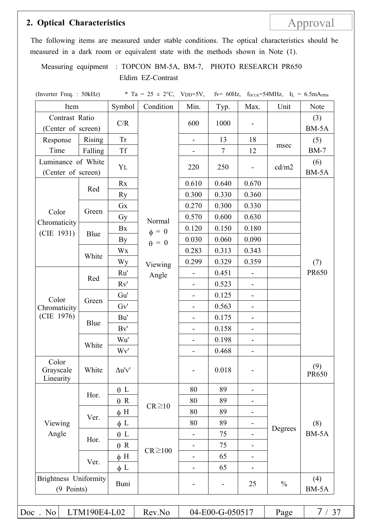### **2. Optical Characteristics** Approval

The following items are measured under stable conditions. The optical characteristics should be measured in a dark room or equivalent state with the methods shown in Note (1).

Measuring equipment : TOPCON BM-5A, BM-7, PHOTO RESEARCH PR650 Eldim EZ-Contrast

(Inverter Freq. : 50kHz)  $*$  Ta = 25  $\pm$  2°C, VDD=5V, fv= 60Hz, f<sub>DCLK</sub>=54MHz, IL = 6.5mArms Item Symbol Condition Min. Typ. Max. Unit Note Contrast Ratio  $\left(\text{Center of screen}\right)$  C/R Normal  $\phi = 0$  $\theta = 0$  $600 \Big| 1000 \Big| - \Big|$  (3) BM-5A Response Time Rising Tr | - | 13 | 18 msec (5) Falling Tf  $\begin{array}{|c|c|c|c|c|c|c|c|c|} \hline \end{array}$  Tf  $\begin{array}{|c|c|c|c|c|c|c|c|} \hline \end{array}$  Tf  $\begin{array}{|c|c|c|c|c|c|c|} \hline \end{array}$  Tf  $\begin{array}{|c|c|c|c|c|c|} \hline \end{array}$  The BM-7 Luminance of White (Center of screen)  $Y_L$  220 250 - cd/m2  $(6)$ BM-5A Color Chromaticity (CIE 1931) Red Rx 0.610 0.640 0.670 Ry 0.300 0.330 0.360 Green Gx  $\vert$  0.270 0.300 0.330 Gy  $\bigcup_{\text{Normal}}$  0.570 0.600 0.630 Blue Bx  $\begin{bmatrix} 1 \\ 4 \end{bmatrix} = 0$   $\begin{bmatrix} 0.120 \\ 0.150 \end{bmatrix} = 0.180$ By  $\begin{bmatrix} 0 & 0.030 & 0.060 & 0.090 \end{bmatrix}$ 

|                                            |              | Gx            |              | 0.270                                                                              | 0.300                    | 0.330                        |               |              |
|--------------------------------------------|--------------|---------------|--------------|------------------------------------------------------------------------------------|--------------------------|------------------------------|---------------|--------------|
| Color                                      | Green        | Gy            | Normal       | 0.570                                                                              | 0.600                    | 0.630                        |               |              |
| Chromaticity<br>(CIE 1931)                 |              | Bx            | $\phi = 0$   | 0.120                                                                              | 0.150                    | 0.180                        |               |              |
|                                            | Blue         | <b>By</b>     | $\theta = 0$ | 0.030                                                                              | 0.060                    | 0.090                        |               |              |
|                                            | White        | Wx            |              | 0.283                                                                              | 0.313                    | 0.343                        |               |              |
|                                            |              | Wy            | Viewing      | 0.299                                                                              | 0.329                    | 0.359                        |               | (7)          |
|                                            |              | Ru'           | Angle        | $\qquad \qquad \blacksquare$                                                       | 0.451                    | $\qquad \qquad \blacksquare$ |               | <b>PR650</b> |
|                                            | Red          | Rv'           |              |                                                                                    | 0.523                    |                              |               |              |
| Color                                      |              | Gu'           |              | $\qquad \qquad \blacksquare$                                                       | 0.125                    | $\overline{\phantom{a}}$     |               |              |
| Chromaticity                               | Green        | Gv'           |              |                                                                                    | 0.563                    | $\qquad \qquad -$            |               |              |
| (CIE 1976)                                 |              | Bu'           |              | $\overline{\phantom{a}}$                                                           | 0.175                    | $\overline{\phantom{a}}$     |               |              |
|                                            | Blue         | Bv'           |              | $\overline{\phantom{0}}$                                                           | 0.158                    | $\overline{\phantom{a}}$     |               |              |
|                                            |              | Wu'           |              | $\overline{\phantom{a}}$                                                           | 0.198                    | $\qquad \qquad \blacksquare$ |               |              |
|                                            | White        | Wv'           |              | $\overline{a}$                                                                     | 0.468                    | $\overline{\phantom{a}}$     |               |              |
| Color<br>Grayscale<br>Linearity            | White        | $\Delta u'v'$ |              |                                                                                    | 0.018                    |                              |               | (9)<br>PR650 |
|                                            |              | $\theta$ L    |              | 80                                                                                 | 89                       | $\overline{\phantom{m}}$     |               |              |
|                                            | Hor.         | $\theta$ R    |              | 80                                                                                 | 89                       | $\overline{\phantom{a}}$     |               |              |
|                                            |              | $\phi$ H      | $CR \ge 10$  | 80<br>89<br>$\qquad \qquad \blacksquare$                                           |                          |                              |               |              |
| Viewing<br>Angle                           | Ver.         | $\phi$ L      |              | 80                                                                                 | 89                       |                              |               | (8)          |
|                                            |              | $\theta$ L    |              | $\overline{\phantom{a}}$                                                           | 75                       |                              | Degrees       | BM-5A        |
|                                            | Hor.         | $\theta$ R    |              | $\overline{\phantom{0}}$                                                           | 75                       | $\qquad \qquad \blacksquare$ |               |              |
|                                            |              | $\phi$ H      |              | $CR \ge 100$<br>65<br>$\qquad \qquad \blacksquare$<br>$\qquad \qquad \blacksquare$ |                          |                              |               |              |
|                                            | Ver.         | $\phi$ L      |              | $\overline{\phantom{a}}$                                                           | 65                       |                              |               |              |
| <b>Brightness Uniformity</b><br>(9 Points) |              | Buni          |              |                                                                                    | $\overline{\phantom{0}}$ | 25                           | $\frac{0}{0}$ | (4)<br>BM-5A |
| Doc. No                                    | LTM190E4-L02 |               | Rev.No       |                                                                                    | 04-E00-G-050517          |                              | Page          | 7/37         |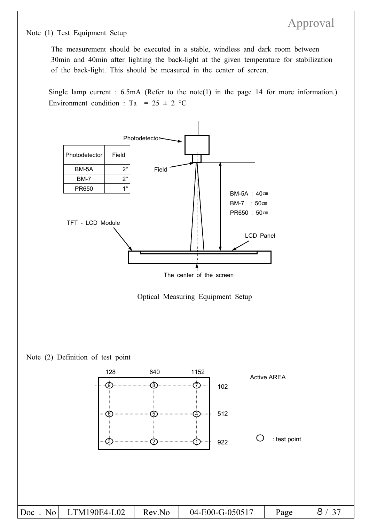Note (1) Test Equipment Setup

The measurement should be executed in a stable, windless and dark room between 30min and 40min after lighting the back-light at the given temperature for stabilization of the back-light. This should be measured in the center of screen.

Single lamp current : 6.5mA (Refer to the note(1) in the page 14 for more information.) Environment condition : Ta =  $25 \pm 2$  °C

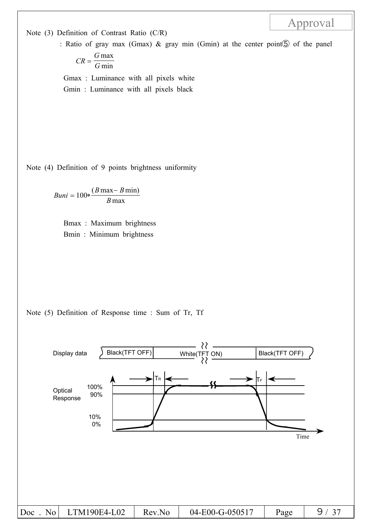Note (3) Definition of Contrast Ratio (C/R)

: Ratio of gray max (Gmax) & gray min (Gmin) at the center point⑤ of the panel

Approval

$$
CR = \frac{G \max}{G \min}
$$

Gmax : Luminance with all pixels white Gmin : Luminance with all pixels black

Note (4) Definition of 9 points brightness uniformity

$$
Buni = 100 * \frac{(B \max - B \min)}{B \max}
$$

Bmax : Maximum brightness Bmin : Minimum brightness

Note (5) Definition of Response time : Sum of Tr, Tf

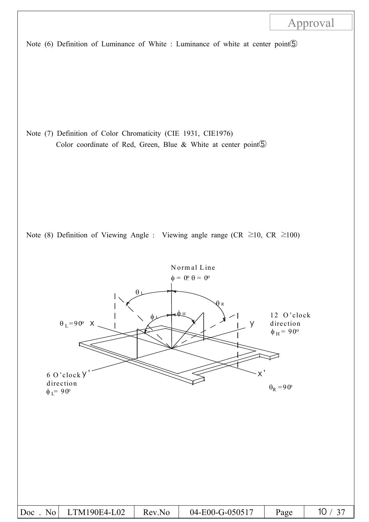Note (6) Definition of Luminance of White : Luminance of white at center point⑤

Note (7) Definition of Color Chromaticity (CIE 1931, CIE1976) Color coordinate of Red, Green, Blue & White at center point⑤



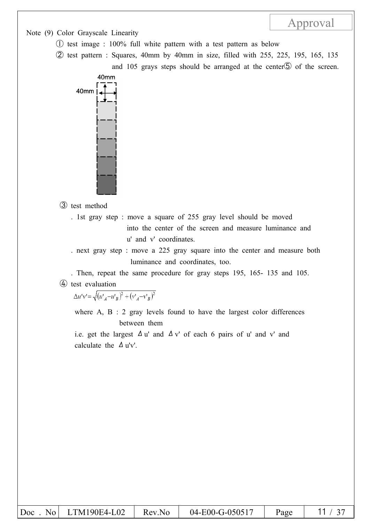Note (9) Color Grayscale Linearity

- ① test image : 100% full white pattern with a test pattern as below
- ② test pattern : Squares, 40mm by 40mm in size, filled with 255, 225, 195, 165, 135 and 105 grays steps should be arranged at the center<sup>®</sup> of the screen.



③ test method

- . 1st gray step : move a square of 255 gray level should be moved into the center of the screen and measure luminance and u' and v' coordinates.
- . next gray step : move a 225 gray square into the center and measure both luminance and coordinates, too.
- . Then, repeat the same procedure for gray steps 195, 165- 135 and 105. ④ test evaluation

 $\Delta u'v' = \sqrt{(u'_A - u'_B)^2 + (v'_A - v'_B)^2}$ 

where A, B : 2 gray levels found to have the largest color differences between them

i.e. get the largest  $\Delta u'$  and  $\Delta v'$  of each 6 pairs of u' and v' and calculate the  $\Delta$  u'v'.

| $\overline{D}$ oc<br>No | LTM190E4-L02 | Rev.No | 04-E00-G-050517 | Page |  |
|-------------------------|--------------|--------|-----------------|------|--|
|-------------------------|--------------|--------|-----------------|------|--|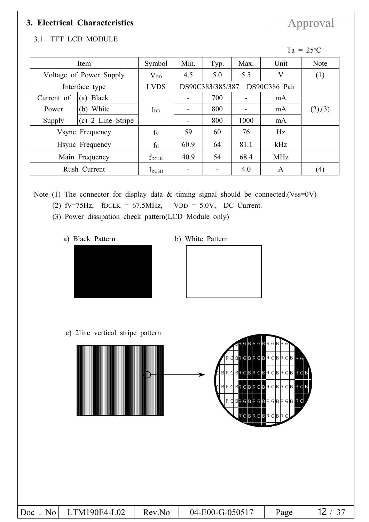## **3. Electrical Characteristics** Approval

### 3.1 TFT LCD MODULE

| Item            |                         | Symbol        | Min.                     | Typ.             | Max.                     | Unit          | Note              |
|-----------------|-------------------------|---------------|--------------------------|------------------|--------------------------|---------------|-------------------|
|                 | Voltage of Power Supply | $\rm V_{DD}$  | 4.5                      | 5.0              | 5.5                      | V             | (1)               |
|                 | Interface type          | <b>LVDS</b>   |                          | DS90C383/385/387 |                          | DS90C386 Pair |                   |
| Current of      | <b>Black</b><br>(a)     |               |                          | 700              |                          | mA            |                   |
| Power           | (b) White               | $_{\rm{LDD}}$ | -                        | 800              | $\overline{\phantom{a}}$ | mA            | (2),(3)           |
| Supply          | (c) 2 Line Stripe       |               | $\overline{\phantom{a}}$ | 800              | 1000                     | mA            |                   |
| Vsync Frequency |                         | $f_V$         | 59                       | 60               | 76                       | Hz            |                   |
| Hsync Frequency |                         | $f_H$         | 60.9                     | 64               | 81.1                     | kHz           |                   |
| Main Frequency  |                         | fdclk         | 40.9                     | 54               | 68.4                     | <b>MHz</b>    |                   |
|                 | Rush Current            | IRUSH         |                          |                  | 4.0                      | A             | $\left( 4\right)$ |

Note (1) The connector for display data  $&$  timing signal should be connected.(Vss=0V)

- (2)  $fV=75Hz$ ,  $fDCLK = 67.5MHz$ ,  $VDD = 5.0V$ , DC Current.
- (3) Power dissipation check pattern(LCD Module only)
	- a) Black Pattern b) White Pattern





\*c) 2line Vertical stripe pattern c) 2line vertical stripe pattern



| Doc<br>N <sub>0</sub> | LTM190E4-L02 | Rev.No | 04-E00-G-050517 | Page |  |
|-----------------------|--------------|--------|-----------------|------|--|

Ta =  $25^{\circ}$ C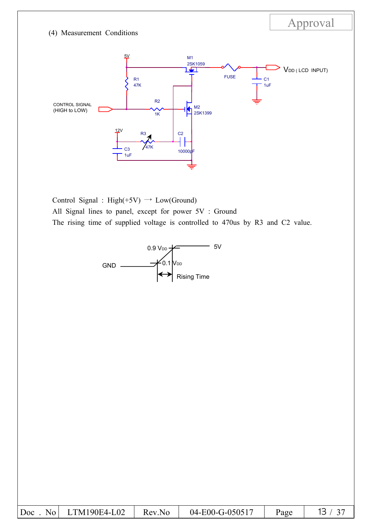### (4) Measurement Conditions



Approval

Control Signal : High(+5V)  $\rightarrow$  Low(Ground) All Signal lines to panel, except for power 5V : Ground The rising time of supplied voltage is controlled to 470us by R3 and C2 value.



|--|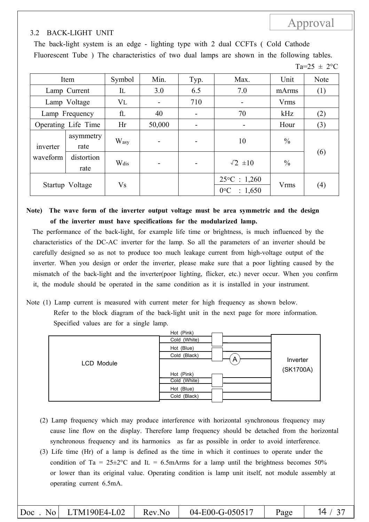### 3.2 BACK-LIGHT UNIT

The back-light system is an edge - lighting type with 2 dual CCFTs ( Cold Cathode Fluorescent Tube ) The characteristics of two dual lamps are shown in the following tables.

 $Ta=25 \pm 2^{\circ}C$ 

Approval

| Item            |                     | Symbol    | Min.           | Typ.           | Max.                                               | Unit          | Note |
|-----------------|---------------------|-----------|----------------|----------------|----------------------------------------------------|---------------|------|
|                 | Lamp Current        | IL        | 3.0            | 6.5            | 7.0                                                | mArms         | (1)  |
|                 | Lamp Voltage        | <b>VL</b> |                | 710            | $\blacksquare$                                     | <b>Vrms</b>   |      |
|                 | Lamp Frequency      | fl        | 40             | $\blacksquare$ | 70                                                 | kHz           | (2)  |
|                 | Operating Life Time | Hr        | 50,000         | -              |                                                    | Hour          | (3)  |
| inverter        | asymmetry<br>rate   | Wasy      |                |                | 10                                                 | $\frac{0}{0}$ |      |
| waveform        | distortion<br>rate  | Wdis      | $\blacksquare$ | $\blacksquare$ | $\sqrt{2} \pm 10$                                  | $\frac{0}{0}$ | (6)  |
| Startup Voltage |                     | Vs        |                |                | $25\textdegree C : 1,260$<br>$0^{\circ}$ C : 1,650 | <b>Vrms</b>   | (4)  |

**Note) The wave form of the inverter output voltage must be area symmetric and the design of the inverter must have specifications for the modularized lamp.**

The performance of the back-light, for example life time or brightness, is much influenced by the characteristics of the DC-AC inverter for the lamp. So all the parameters of an inverter should be carefully designed so as not to produce too much leakage current from high-voltage output of the inverter. When you design or order the inverter, please make sure that a poor lighting caused by the mismatch of the back-light and the inverter(poor lighting, flicker, etc.) never occur. When you confirm it, the module should be operated in the same condition as it is installed in your instrument.

Note (1) Lamp current is measured with current meter for high frequency as shown below. Refer to the block diagram of the back-light unit in the next page for more information. Specified values are for a single lamp.

|            | Hot (Pink)                 |           |
|------------|----------------------------|-----------|
|            | Cold (White)               |           |
|            | Hot (Blue)                 |           |
|            | Cold (Black)               | Inverter  |
| LCD Module | $\mathsf{A}$               |           |
|            | Hot (Pink)<br>Cold (White) | (SK1700A) |
|            | Hot (Blue)                 |           |
|            | (Black)<br>Cold            |           |

- (2) Lamp frequency which may produce interference with horizontal synchronous frequency may cause line flow on the display. Therefore lamp frequency should be detached from the horizontal synchronous frequency and its harmonics as far as possible in order to avoid interference.
- (3) Life time (Hr) of a lamp is defined as the time in which it continues to operate under the condition of Ta =  $25\pm2$ °C and I<sub>L</sub> = 6.5mArms for a lamp until the brightness becomes 50% or lower than its original value. Operating condition is lamp unit itself, not module assembly at operating current 6.5mA.

|  | $ Doc$ . No $LTM190E4-L02$ | Rev.No | 04-E00-G-050517 | Page |  |
|--|----------------------------|--------|-----------------|------|--|
|--|----------------------------|--------|-----------------|------|--|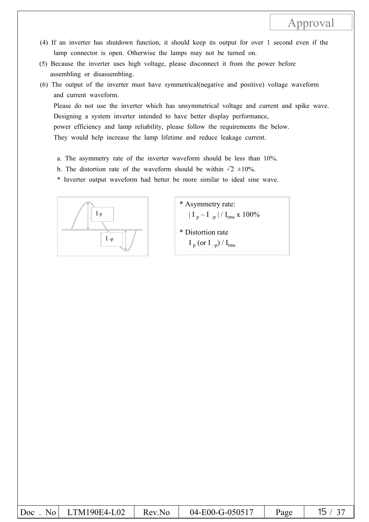- (4) If an inverter has shutdown function, it should keep its output for over 1 second even if the lamp connector is open. Otherwise the lamps may not be turned on.
- (5) Because the inverter uses high voltage, please disconnect it from the power before assembling or disassembling.
- (6) The output of the inverter must have symmetrical(negative and positive) voltage waveform and current waveform. Please do not use the inverter which has unsymmetrical voltage and current and spike wave.

Designing a system inverter intended to have better display performance, power efficiency and lamp reliability, please follow the requirements the below. They would help increase the lamp lifetime and reduce leakage current.

- a. The asymmetry rate of the inverter waveform should be less than 10%.
- b. The distortion rate of the waveform should be within  $\sqrt{2} \pm 10\%$ .
- \* Inverter output waveform had better be more similar to ideal sine wave.



- \* Asymmetry rate:  $|\mathrm{I}_{\mathrm{p}} - \mathrm{I}_{\mathrm{-p}}| / \mathrm{I}_{\mathrm{rms}} \times 100\%$
- \* Distortion rate  $I_p$  (or  $I_{-p}$ ) /  $I_{rms}$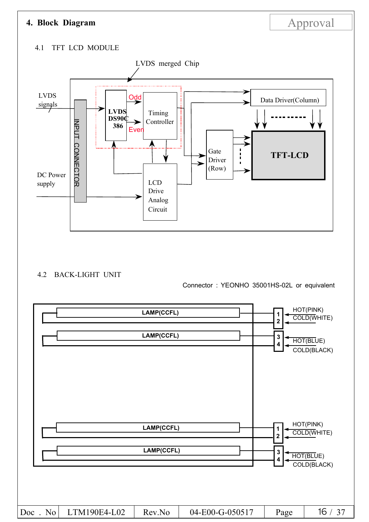### **4. Block Diagram Approval**

### 4.1 TFT LCD MODULE



### 4.2 BACK-LIGHT UNIT

Connector : YEONHO 35001HS-02L or equivalent

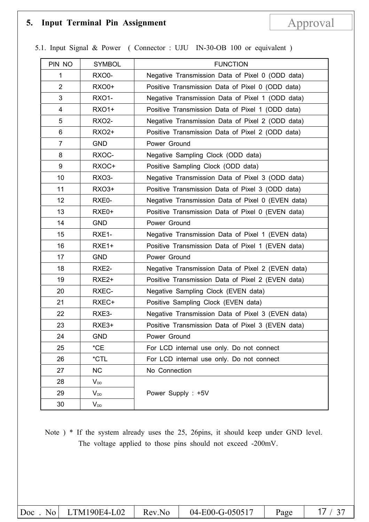## 5. Input Terminal Pin Assignment Approval

|  |  |  | 5.1. Input Signal & Power (Connector: UJU IN-30-OB 100 or equivalent) |  |  |
|--|--|--|-----------------------------------------------------------------------|--|--|
|--|--|--|-----------------------------------------------------------------------|--|--|

| PIN NO         | <b>SYMBOL</b>     | <b>FUNCTION</b>                                   |  |
|----------------|-------------------|---------------------------------------------------|--|
| 1              | <b>RXO0-</b>      | Negative Transmission Data of Pixel 0 (ODD data)  |  |
| $\overline{2}$ | <b>RXO0+</b>      | Positive Transmission Data of Pixel 0 (ODD data)  |  |
| 3              | <b>RXO1-</b>      | Negative Transmission Data of Pixel 1 (ODD data)  |  |
| 4              | <b>RXO1+</b>      | Positive Transmission Data of Pixel 1 (ODD data)  |  |
| 5              | <b>RXO2-</b>      | Negative Transmission Data of Pixel 2 (ODD data)  |  |
| 6              | <b>RXO2+</b>      | Positive Transmission Data of Pixel 2 (ODD data)  |  |
| $\overline{7}$ | <b>GND</b>        | Power Ground                                      |  |
| 8              | RXOC-             | Negative Sampling Clock (ODD data)                |  |
| 9              | RXOC+             | Positive Sampling Clock (ODD data)                |  |
| 10             | <b>RXO3-</b>      | Negative Transmission Data of Pixel 3 (ODD data)  |  |
| 11             | RXO3+             | Positive Transmission Data of Pixel 3 (ODD data)  |  |
| 12             | RXE0-             | Negative Transmission Data of Pixel 0 (EVEN data) |  |
| 13             | RXE0+             | Positive Transmission Data of Pixel 0 (EVEN data) |  |
| 14             | <b>GND</b>        | Power Ground                                      |  |
| 15             | RXE1-             | Negative Transmission Data of Pixel 1 (EVEN data) |  |
| 16             | RXE1+             | Positive Transmission Data of Pixel 1 (EVEN data) |  |
| 17             | <b>GND</b>        | Power Ground                                      |  |
| 18             | RXE2-             | Negative Transmission Data of Pixel 2 (EVEN data) |  |
| 19             | RXE <sub>2+</sub> | Positive Transmission Data of Pixel 2 (EVEN data) |  |
| 20             | RXEC-             | Negative Sampling Clock (EVEN data)               |  |
| 21             | RXEC+             | Positive Sampling Clock (EVEN data)               |  |
| 22             | RXE3-             | Negative Transmission Data of Pixel 3 (EVEN data) |  |
| 23             | RXE3+             | Positive Transmission Data of Pixel 3 (EVEN data) |  |
| 24             | <b>GND</b>        | Power Ground                                      |  |
| 25             | $^{\star}$ CE     | For LCD internal use only. Do not connect         |  |
| 26             | *CTL              | For LCD internal use only. Do not connect         |  |
| 27             | <b>NC</b>         | No Connection                                     |  |
| 28             | $V_{DD}$          |                                                   |  |
| 29             | $V_{DD}$          | Power Supply: +5V                                 |  |
| 30             | $V_{DD}$          |                                                   |  |

Note ) \* If the system already uses the 25, 26pins, it should keep under GND level. The voltage applied to those pins should not exceed -200mV.

| $ Doc$ No LTM190E4-L02<br>04-E00-G-050517<br>Rev.No<br>Page |  |
|-------------------------------------------------------------|--|
|-------------------------------------------------------------|--|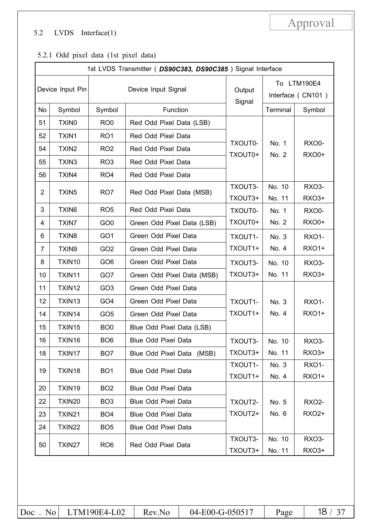### 5.2 LVDS Interface(1)

### 5.2.1 Odd pixel data (1st pixel data)

|                  | 1st LVDS Transmitter (DS90C383, DS90C385) Signal Interface |                 |                            |                    |                  |                                  |  |  |
|------------------|------------------------------------------------------------|-----------------|----------------------------|--------------------|------------------|----------------------------------|--|--|
| Device Input Pin |                                                            |                 | Device Input Signal        | Output<br>Signal   |                  | To LTM190E4<br>Interface (CN101) |  |  |
| No               | Symbol                                                     | Symbol          | Function                   |                    | Terminal         | Symbol                           |  |  |
| 51               | <b>TXIN0</b>                                               | RO <sub>0</sub> | Red Odd Pixel Data (LSB)   |                    |                  |                                  |  |  |
| 52               | TXIN1                                                      | RO <sub>1</sub> | Red Odd Pixel Data         |                    |                  |                                  |  |  |
| 54               | TXIN <sub>2</sub>                                          | RO <sub>2</sub> | Red Odd Pixel Data         | TXOUT0-<br>TXOUT0+ | No. 1<br>No. 2   | <b>RXO0-</b><br><b>RXO0+</b>     |  |  |
| 55               | TXIN3                                                      | RO <sub>3</sub> | Red Odd Pixel Data         |                    |                  |                                  |  |  |
| 56               | TXIN4                                                      | RO <sub>4</sub> | Red Odd Pixel Data         |                    |                  |                                  |  |  |
| $\overline{2}$   | TXIN <sub>5</sub>                                          | RO <sub>7</sub> | Red Odd Pixel Data (MSB)   | TXOUT3-<br>TXOUT3+ | No. 10<br>No. 11 | RXO3-<br>RXO3+                   |  |  |
| 3                | TXIN6                                                      | RO <sub>5</sub> | Red Odd Pixel Data         | TXOUT0-            | No. 1            | RXO0-                            |  |  |
| 4                | <b>TXIN7</b>                                               | GO <sub>0</sub> | Green Odd Pixel Data (LSB) |                    | No. 2            | <b>RXO0+</b>                     |  |  |
| 6                | TXIN8                                                      | GO <sub>1</sub> | Green Odd Pixel Data       | TXOUT1-            | No. 3            | <b>RXO1-</b>                     |  |  |
| 7                | TXIN9                                                      | GO <sub>2</sub> | Green Odd Pixel Data       | TXOUT1+            | No. 4            | <b>RXO1+</b>                     |  |  |
| 8                | TXIN10                                                     | GO <sub>6</sub> | Green Odd Pixel Data       | TXOUT3-            | No. 10           | <b>RXO3-</b>                     |  |  |
| 10               | TXIN11                                                     | GO7             | Green Odd Pixel Data (MSB) | TXOUT3+            | No. 11           | RXO3+                            |  |  |
| 11               | TXIN12                                                     | GO <sub>3</sub> | Green Odd Pixel Data       |                    |                  |                                  |  |  |
| 12               | TXIN13                                                     | GO <sub>4</sub> | Green Odd Pixel Data       | TXOUT1-            | No. 3            | <b>RXO1-</b>                     |  |  |
| 14               | TXIN14                                                     | GO <sub>5</sub> | Green Odd Pixel Data       | TXOUT1+            | No. 4            | <b>RXO1+</b>                     |  |  |
| 15               | TXIN15                                                     | BO <sub>0</sub> | Blue Odd Pixel Data (LSB)  |                    |                  |                                  |  |  |
| 16               | TXIN16                                                     | BO <sub>6</sub> | Blue Odd Pixel Data        | TXOUT3-            | No. 10           | RXO3-                            |  |  |
| 18               | TXIN17                                                     | BO <sub>7</sub> | Blue Odd Pixel Data (MSB)  | TXOUT3+            | No. 11           | RXO3+                            |  |  |
| 19               | TXIN18                                                     | BO <sub>1</sub> | Blue Odd Pixel Data        | TXOUT1-<br>TXOUT1+ | No. 3<br>No. 4   | <b>RXO1-</b><br><b>RXO1+</b>     |  |  |
| 20               | TXIN19                                                     | BO <sub>2</sub> | <b>Blue Odd Pixel Data</b> |                    |                  |                                  |  |  |
| 22               | TXIN20                                                     | BO <sub>3</sub> | <b>Blue Odd Pixel Data</b> | TXOUT2-            | No. 5            | <b>RXO2-</b>                     |  |  |
| 23               | TXIN21                                                     | BO <sub>4</sub> | <b>Blue Odd Pixel Data</b> | TXOUT2+            | No. 6            | <b>RXO2+</b>                     |  |  |
| 24               | TXIN22                                                     | BO <sub>5</sub> | Blue Odd Pixel Data        |                    |                  |                                  |  |  |
| 50               | TXIN27                                                     | RO <sub>6</sub> | Red Odd Pixel Data         | TXOUT3-<br>TXOUT3+ | No. 10<br>No. 11 | <b>RXO3-</b><br>RXO3+            |  |  |

Approval

|  | $ Doc$ No LTM190E4-L02 Rev.No |  | $04-E00-G-050517$ Page |  | 18 / 37 |
|--|-------------------------------|--|------------------------|--|---------|
|--|-------------------------------|--|------------------------|--|---------|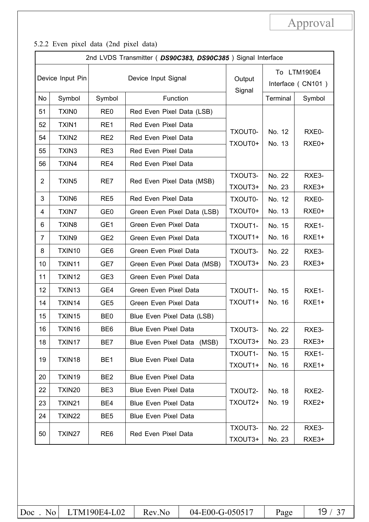5.2.2 Even pixel data (2nd pixel data)

| 2nd LVDS Transmitter (DS90C383, DS90C385) Signal Interface |                   |                 |                             |                    |                                  |                   |  |
|------------------------------------------------------------|-------------------|-----------------|-----------------------------|--------------------|----------------------------------|-------------------|--|
| Device Input Pin                                           |                   |                 | Device Input Signal         | Output<br>Signal   | To LTM190E4<br>Interface (CN101) |                   |  |
| No                                                         | Symbol            | Symbol          | Function                    |                    | Terminal                         | Symbol            |  |
| 51                                                         | TXIN <sub>0</sub> | RE <sub>0</sub> | Red Even Pixel Data (LSB)   |                    |                                  |                   |  |
| 52                                                         | TXIN1             | RE1             | Red Even Pixel Data         |                    |                                  |                   |  |
| 54                                                         | TXIN <sub>2</sub> | RE <sub>2</sub> | Red Even Pixel Data         | TXOUT0-<br>TXOUT0+ | No. 12<br>No. 13                 | RXE0-<br>RXE0+    |  |
| 55                                                         | TXIN3             | RE3             | Red Even Pixel Data         |                    |                                  |                   |  |
| 56                                                         | TXIN4             | RE4             | Red Even Pixel Data         |                    |                                  |                   |  |
| 2                                                          | TXIN <sub>5</sub> | RE7             | Red Even Pixel Data (MSB)   | TXOUT3-            | No. 22                           | RXE3-             |  |
|                                                            |                   |                 |                             | TXOUT3+            | No. 23                           | RXE3+             |  |
| 3                                                          | TXIN6             | RE <sub>5</sub> | Red Even Pixel Data         | TXOUT0-            | No. 12                           | RXE0-             |  |
| 4                                                          | <b>TXIN7</b>      | GE <sub>0</sub> | Green Even Pixel Data (LSB) | TXOUT0+            | No. 13                           | RXE0+             |  |
| 6                                                          | TXIN8             | GE1             | Green Even Pixel Data       | TXOUT1-            | No. 15                           | RXE1-             |  |
| 7                                                          | TXIN9             | GE <sub>2</sub> | Green Even Pixel Data       | TXOUT1+            | No. 16                           | RXE <sub>1+</sub> |  |
| 8                                                          | TXIN10            | GE <sub>6</sub> | Green Even Pixel Data       | TXOUT3-            | No. 22                           | RXE3-             |  |
| 10                                                         | TXIN11            | GE7             | Green Even Pixel Data (MSB) | TXOUT3+            | No. 23                           | RXE3+             |  |
| 11                                                         | TXIN12            | GE <sub>3</sub> | Green Even Pixel Data       |                    |                                  |                   |  |
| 12                                                         | TXIN13            | GE4             | Green Even Pixel Data       | TXOUT1-            | No. 15                           | RXE1-             |  |
| 14                                                         | TXIN14            | GE <sub>5</sub> | Green Even Pixel Data       | TXOUT1+            | No. 16                           | RXE1+             |  |
| 15                                                         | TXIN15            | BE <sub>0</sub> | Blue Even Pixel Data (LSB)  |                    |                                  |                   |  |
| 16                                                         | TXIN16            | BE <sub>6</sub> | <b>Blue Even Pixel Data</b> | TXOUT3-            | No. 22                           | RXE3-             |  |
| 18                                                         | TXIN17            | BE7             | Blue Even Pixel Data (MSB)  | TXOUT3+            | No. 23                           | RXE3+             |  |
| 19                                                         | TXIN18            | BE <sub>1</sub> | <b>Blue Even Pixel Data</b> | TXOUT1-            | No. 15                           | RXE1-             |  |
|                                                            |                   |                 |                             | TXOUT1+            | No. 16                           | RXE1+             |  |
| 20                                                         | TXIN19            | BE <sub>2</sub> | Blue Even Pixel Data        |                    |                                  |                   |  |
| 22                                                         | TXIN20            | BE <sub>3</sub> | <b>Blue Even Pixel Data</b> | TXOUT2-            | No. 18                           | RXE2-             |  |
| 23                                                         | <b>TXIN21</b>     | BE4             | Blue Even Pixel Data        | TXOUT2+            | No. 19                           | RXE <sub>2+</sub> |  |
| 24                                                         | TXIN22            | BE <sub>5</sub> | <b>Blue Even Pixel Data</b> |                    |                                  |                   |  |
| 50                                                         | TXIN27            | RE <sub>6</sub> | Red Even Pixel Data         | TXOUT3-            | No. 22                           | RXE3-             |  |
|                                                            |                   |                 | TXOUT3+                     | No. 23             | RXE3+                            |                   |  |

Doc No LTM190E4-L02 Rev.No 04-E00-G-050517 Page 19 / 37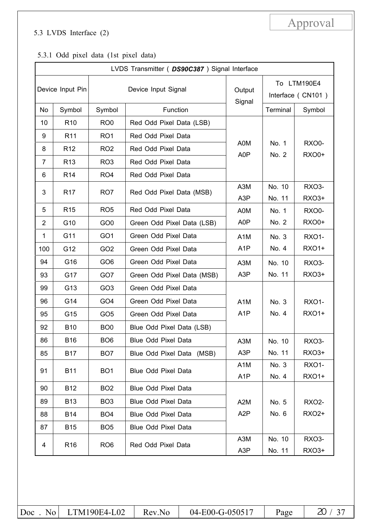### 5.3 LVDS Interface (2)

### 5.3.1 Odd pixel data (1st pixel data)

|                  | LVDS Transmitter ( DS90C387 ) Signal Interface |                 |                            |                  |                                  |                    |  |  |  |
|------------------|------------------------------------------------|-----------------|----------------------------|------------------|----------------------------------|--------------------|--|--|--|
| Device Input Pin |                                                |                 | Device Input Signal        | Output<br>Signal | To LTM190E4<br>Interface (CN101) |                    |  |  |  |
| No               | Symbol                                         | Symbol          | Function                   |                  | Terminal                         | Symbol             |  |  |  |
| 10               | R <sub>10</sub>                                | RO <sub>0</sub> | Red Odd Pixel Data (LSB)   |                  |                                  |                    |  |  |  |
| 9                | R <sub>11</sub>                                | RO <sub>1</sub> | Red Odd Pixel Data         |                  |                                  |                    |  |  |  |
| 8                | R <sub>12</sub>                                | RO <sub>2</sub> | Red Odd Pixel Data         | A0M<br>A0P       | No. 1<br>No. 2                   | RXO0-<br>RXO0+     |  |  |  |
| $\overline{7}$   | R <sub>13</sub>                                | RO <sub>3</sub> | Red Odd Pixel Data         |                  |                                  |                    |  |  |  |
| 6                | R <sub>14</sub>                                | RO <sub>4</sub> | Red Odd Pixel Data         |                  |                                  |                    |  |  |  |
| 3                | R <sub>17</sub>                                | RO <sub>7</sub> | Red Odd Pixel Data (MSB)   | A3M              | No. 10                           | RXO3-              |  |  |  |
|                  |                                                |                 |                            | A <sub>3</sub> P | No. 11                           | <b>RXO3+</b>       |  |  |  |
| 5                | R <sub>15</sub>                                | RO <sub>5</sub> | Red Odd Pixel Data         | A0M              | No. 1                            | RXO0-              |  |  |  |
| $\overline{2}$   | G10                                            | GO <sub>0</sub> | Green Odd Pixel Data (LSB) | A0P              | No. 2                            | <b>RXO0+</b>       |  |  |  |
| 1                | G11                                            | GO <sub>1</sub> | Green Odd Pixel Data       | A <sub>1</sub> M | No. 3                            | <b>RXO1-</b>       |  |  |  |
| 100              | G12                                            | GO <sub>2</sub> | Green Odd Pixel Data       | A <sub>1</sub> P | No. 4                            | <b>RXO1+</b>       |  |  |  |
| 94               | G16                                            | GO <sub>6</sub> | Green Odd Pixel Data       | A <sub>3</sub> M | No. 10                           | RXO3-              |  |  |  |
| 93               | G17                                            | GO7             | Green Odd Pixel Data (MSB) | A <sub>3</sub> P | No. 11                           | RXO3+              |  |  |  |
| 99               | G13                                            | GO <sub>3</sub> | Green Odd Pixel Data       |                  |                                  |                    |  |  |  |
| 96               | G14                                            | GO <sub>4</sub> | Green Odd Pixel Data       | A <sub>1</sub> M | No. 3                            | <b>RXO1-</b>       |  |  |  |
| 95               | G15                                            | GO <sub>5</sub> | Green Odd Pixel Data       | A <sub>1</sub> P | No. 4                            | <b>RXO1+</b>       |  |  |  |
| 92               | <b>B10</b>                                     | BO <sub>0</sub> | Blue Odd Pixel Data (LSB)  |                  |                                  |                    |  |  |  |
| 86               | <b>B16</b>                                     | BO <sub>6</sub> | Blue Odd Pixel Data        | A3M              | No. 10                           | RXO <sub>3</sub> - |  |  |  |
| 85               | <b>B17</b>                                     | BO <sub>7</sub> | Blue Odd Pixel Data (MSB)  | A <sub>3</sub> P | No. 11                           | RXO3+              |  |  |  |
| 91               | <b>B11</b>                                     | BO <sub>1</sub> | Blue Odd Pixel Data        | A <sub>1</sub> M | No. 3                            | <b>RXO1-</b>       |  |  |  |
|                  |                                                |                 |                            | A <sub>1</sub> P | No. 4                            | <b>RXO1+</b>       |  |  |  |
| 90               | <b>B12</b>                                     | BO <sub>2</sub> | Blue Odd Pixel Data        |                  |                                  |                    |  |  |  |
| 89               | <b>B13</b>                                     | BO <sub>3</sub> | <b>Blue Odd Pixel Data</b> | A2M              | No. 5                            | <b>RXO2-</b>       |  |  |  |
| 88               | <b>B14</b>                                     | BO <sub>4</sub> | Blue Odd Pixel Data        | A <sub>2</sub> P | No. 6                            | <b>RXO2+</b>       |  |  |  |
| 87               | <b>B15</b>                                     | BO <sub>5</sub> | Blue Odd Pixel Data        |                  |                                  |                    |  |  |  |
| 4                | R <sub>16</sub>                                | RO <sub>6</sub> | Red Odd Pixel Data         | A3M              | No. 10                           | <b>RXO3-</b>       |  |  |  |
|                  |                                                |                 |                            | A3P              | No. 11                           | RX03+              |  |  |  |

Approval

|  | $ Doc$ No LTM190E4-L02 Rev.No |  | 04-E00-G-050517 | Page |  |
|--|-------------------------------|--|-----------------|------|--|
|--|-------------------------------|--|-----------------|------|--|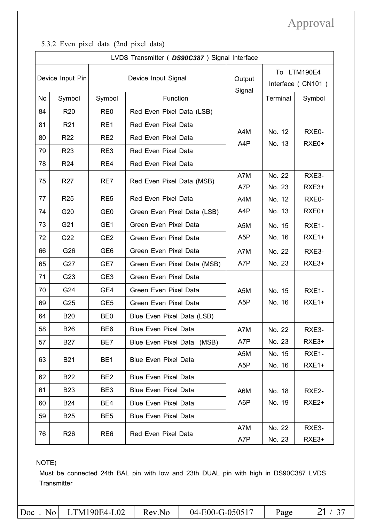5.3.2 Even pixel data (2nd pixel data)

|    |                  |                 | LVDS Transmitter ( DS90C387 ) Signal Interface |                  |                                  |                   |  |
|----|------------------|-----------------|------------------------------------------------|------------------|----------------------------------|-------------------|--|
|    | Device Input Pin |                 | Device Input Signal                            | Output<br>Signal | To LTM190E4<br>Interface (CN101) |                   |  |
| No | Symbol           | Symbol          | Function                                       |                  | Terminal                         | Symbol            |  |
| 84 | R <sub>20</sub>  | RE <sub>0</sub> | Red Even Pixel Data (LSB)                      |                  |                                  |                   |  |
| 81 | R <sub>21</sub>  | RE1             | Red Even Pixel Data                            |                  |                                  |                   |  |
| 80 | <b>R22</b>       | RE <sub>2</sub> | Red Even Pixel Data                            | A4M<br>A4P       | No. 12<br>No. 13                 | RXE0-<br>RXE0+    |  |
| 79 | R <sub>23</sub>  | RE3             | Red Even Pixel Data                            |                  |                                  |                   |  |
| 78 | R <sub>24</sub>  | RE4             | Red Even Pixel Data                            |                  |                                  |                   |  |
| 75 | R <sub>27</sub>  | RE7             | Red Even Pixel Data (MSB)                      | A7M              | No. 22                           | RXE3-             |  |
|    |                  |                 |                                                | A7P              | No. 23                           | RXE3+             |  |
| 77 | R <sub>25</sub>  | RE <sub>5</sub> | Red Even Pixel Data                            | A4M              | No. 12                           | RXE0-             |  |
| 74 | G20              | GE <sub>0</sub> | Green Even Pixel Data (LSB)                    | A4P              | No. 13                           | RXE0+             |  |
| 73 | G21              | GE1             | Green Even Pixel Data                          | A5M              | No. 15                           | RXE1-             |  |
| 72 | G22              | GE <sub>2</sub> | Green Even Pixel Data                          | A <sub>5</sub> P | No. 16                           | RXE1+             |  |
| 66 | G26              | GE <sub>6</sub> | Green Even Pixel Data                          | A7M              | No. 22                           | RXE3-             |  |
| 65 | G27              | GE7             | Green Even Pixel Data (MSB)                    | A7P              | No. 23                           | RXE3+             |  |
| 71 | G23              | GE3             | Green Even Pixel Data                          |                  |                                  |                   |  |
| 70 | G24              | GE4             | Green Even Pixel Data                          | A <sub>5</sub> M | No. 15                           | RXE1-             |  |
| 69 | G25              | GE <sub>5</sub> | Green Even Pixel Data                          | A <sub>5</sub> P | No. 16                           | RXE1+             |  |
| 64 | <b>B20</b>       | BE <sub>0</sub> | Blue Even Pixel Data (LSB)                     |                  |                                  |                   |  |
| 58 | <b>B26</b>       | BE6             | <b>Blue Even Pixel Data</b>                    | A7M              | No. 22                           | RXE3-             |  |
| 57 | <b>B27</b>       | BE7             | Blue Even Pixel Data (MSB)                     | A7P              | No. 23                           | RXE3+             |  |
| 63 | <b>B21</b>       | BE <sub>1</sub> | <b>Blue Even Pixel Data</b>                    | A5M              | No. 15                           | RXE1-             |  |
|    |                  |                 |                                                | A <sub>5</sub> P | No. 16                           | RXE1+             |  |
| 62 | <b>B22</b>       | BE <sub>2</sub> | <b>Blue Even Pixel Data</b>                    |                  |                                  |                   |  |
| 61 | <b>B23</b>       | BE3             | <b>Blue Even Pixel Data</b>                    | A6M              | No. 18                           | RXE2-             |  |
| 60 | B24              | BE4             | <b>Blue Even Pixel Data</b>                    | A6P              | No. 19                           | RXE <sub>2+</sub> |  |
| 59 | <b>B25</b>       | BE <sub>5</sub> | <b>Blue Even Pixel Data</b>                    |                  |                                  |                   |  |
| 76 | R <sub>26</sub>  | RE <sub>6</sub> | Red Even Pixel Data                            | A7M              | No. 22                           | RXE3-             |  |
|    |                  |                 |                                                | A7P              | No. 23                           | RXE3+             |  |

NOTE)

Must be connected 24th BAL pin with low and 23th DUAL pin with high in DS90C387 LVDS **Transmitter** 

|  | $ Doc$ No LTM190E4-L02 | Rev.No | 04-E00-G-050517 | Page |  |
|--|------------------------|--------|-----------------|------|--|
|--|------------------------|--------|-----------------|------|--|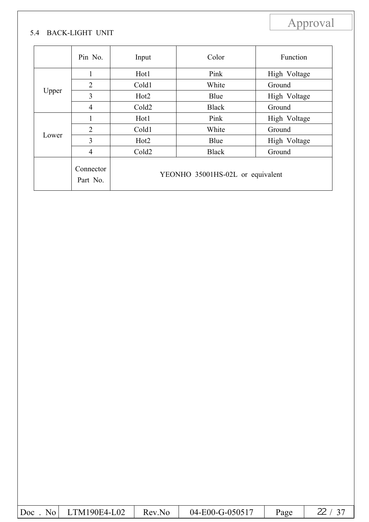### 5.4 BACK-LIGHT UNIT

|       | Pin No.               | Input             | Color                            | Function     |  |
|-------|-----------------------|-------------------|----------------------------------|--------------|--|
|       | 1                     | Hot1              | Pink                             | High Voltage |  |
| Upper | $\overline{2}$        | Cold1             | White                            | Ground       |  |
|       | 3                     | Hot <sub>2</sub>  | Blue                             | High Voltage |  |
|       | 4                     | Cold <sub>2</sub> | <b>Black</b>                     | Ground       |  |
|       |                       | Hot1              | Pink                             | High Voltage |  |
|       | $\overline{2}$        | Cold1             | White                            | Ground       |  |
| Lower | 3                     | Hot <sub>2</sub>  | Blue                             | High Voltage |  |
|       | $\overline{4}$        | Cold <sub>2</sub> | <b>Black</b>                     | Ground       |  |
|       | Connector<br>Part No. |                   | YEONHO 35001HS-02L or equivalent |              |  |

| 04-E00-G-050517<br>$Doc$ . No LTM190E4-L02<br>Page<br>Rev.No |
|--------------------------------------------------------------|
|--------------------------------------------------------------|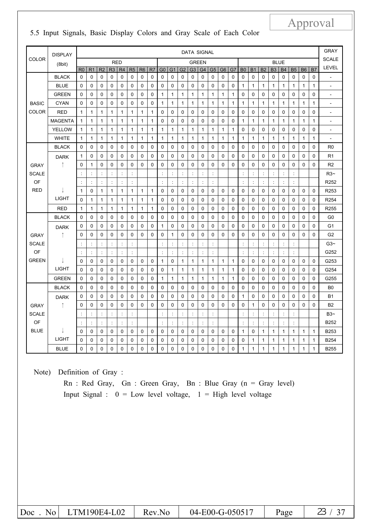|              | <b>DISPLAY</b> | <b>DATA SIGNAL</b>                        |                |                |                      |                |                |                | <b>GRAY</b>  |                |                      |                |                      |                |                      |                |              |                      |                |                      |                |                      |                |              |              |                          |
|--------------|----------------|-------------------------------------------|----------------|----------------|----------------------|----------------|----------------|----------------|--------------|----------------|----------------------|----------------|----------------------|----------------|----------------------|----------------|--------------|----------------------|----------------|----------------------|----------------|----------------------|----------------|--------------|--------------|--------------------------|
| <b>COLOR</b> | (8bit)         | <b>RED</b><br><b>BLUE</b><br><b>GREEN</b> |                |                |                      |                |                |                | <b>SCALE</b> |                |                      |                |                      |                |                      |                |              |                      |                |                      |                |                      |                |              |              |                          |
|              |                | R <sub>0</sub>                            | R <sub>1</sub> | R <sub>2</sub> | R <sub>3</sub>       | R <sub>4</sub> | R <sub>5</sub> | R <sub>6</sub> | R7           | G <sub>0</sub> | G <sub>1</sub>       | G <sub>2</sub> | G <sub>3</sub>       | G <sub>4</sub> | G <sub>5</sub>       | G <sub>6</sub> | G7           | B <sub>0</sub>       | <b>B1</b>      | B <sub>2</sub>       | B <sub>3</sub> | <b>B4</b>            | <b>B5</b>      | <b>B6</b>    | B7           | <b>LEVEL</b>             |
|              | <b>BLACK</b>   | $\Omega$                                  | 0              | $\Omega$       | $\Omega$             | 0              | $\Omega$       | $\Omega$       | $\Omega$     | $\Omega$       | $\Omega$             | 0              | 0                    | 0              | $\Omega$             | $\Omega$       | $\mathbf 0$  | 0                    | $\Omega$       | $\mathbf 0$          | $\Omega$       | $\Omega$             | 0              | 0            | 0            | $\overline{\phantom{a}}$ |
|              | <b>BLUE</b>    | $\Omega$                                  | 0              | 0              | 0                    | 0              | $\mathbf 0$    | 0              | $\mathbf 0$  | $\mathbf 0$    | 0                    | 0              | 0                    | $\mathbf 0$    | 0                    | $\mathbf 0$    | $\mathbf 0$  | 1                    | $\mathbf{1}$   | 1                    | $\mathbf{1}$   | $\mathbf{1}$         | 1              | 1            | $\mathbf{1}$ | $\overline{\phantom{a}}$ |
|              | <b>GREEN</b>   | $\Omega$                                  | $\mathbf 0$    | 0              | 0                    | 0              | 0              | $\mathbf 0$    | $\mathbf 0$  | $\mathbf{1}$   | $\mathbf{1}$         | 1              | $\mathbf{1}$         | $\mathbf{1}$   | $\mathbf{1}$         | $\mathbf{1}$   | $\mathbf{1}$ | 0                    | 0              | $\mathbf 0$          | 0              | $\mathbf 0$          | 0              | $\mathbf 0$  | $\mathbf 0$  | $\overline{a}$           |
| <b>BASIC</b> | <b>CYAN</b>    | $\mathbf 0$                               | 0              | 0              | 0                    | 0              | $\mathbf 0$    | 0              | $\mathbf 0$  | 1              | $\mathbf{1}$         | 1              | 1                    | $\mathbf{1}$   | 1                    | 1              | $\mathbf{1}$ | 1                    | $\mathbf{1}$   | 1                    | 1              | 1                    | 1              | 1            | 1            | $\overline{a}$           |
| <b>COLOR</b> | <b>RED</b>     | $\mathbf{1}$                              | 1              | 1              | $\mathbf{1}$         | 1              | 1              | $\mathbf{1}$   | 1            | 0              | $\Omega$             | 0              | 0                    | 0              | 0                    | $\Omega$       | $\mathbf 0$  | 0                    | $\Omega$       | $\mathbf 0$          | 0              | $\Omega$             | 0              | 0            | 0            | ÷,                       |
|              | <b>MAGENTA</b> | $\mathbf{1}$                              | 1              | 1              | 1                    | 1              | 1              | $\mathbf{1}$   | 1            | 0              | 0                    | 0              | 0                    | 0              | 0                    | 0              | 0            | 1                    | $\mathbf{1}$   | 1                    | $\mathbf{1}$   | $\mathbf{1}$         | 1              | 1            | 1            | $\overline{\phantom{a}}$ |
|              | <b>YELLOW</b>  | $\mathbf{1}$                              | 1              | 1              | $\mathbf{1}$         | 1              | 1              | 1              | 1            | $\mathbf{1}$   | 1                    | 1              | 1                    | 1              | 1                    | $\mathbf{1}$   | 1            | 0                    | 0              | 0                    | 0              | $\mathbf 0$          | $\mathbf 0$    | 0            | 0            | $\overline{\phantom{a}}$ |
|              | <b>WHITE</b>   | $\mathbf{1}$                              | 1              | 1              | $\mathbf{1}$         | 1              | 1              | $\mathbf{1}$   | 1            | $\mathbf{1}$   | $\mathbf{1}$         | 1              | 1                    | $\mathbf{1}$   | $\mathbf{1}$         | $\mathbf{1}$   | 1            | 1                    | 1              | 1                    | $\mathbf{1}$   | $\mathbf{1}$         | 1              | 1            | 1            | $\overline{\phantom{a}}$ |
|              | <b>BLACK</b>   | 0                                         | 0              | 0              | 0                    | 0              | $\mathbf 0$    | 0              | 0            | $\mathbf 0$    | 0                    | 0              | 0                    | 0              | 0                    | 0              | $\mathbf 0$  | 0                    | 0              | 0                    | 0              | 0                    | 0              | 0            | 0            | R0                       |
|              | <b>DARK</b>    | $\mathbf{1}$                              | $\mathbf 0$    | 0              | 0                    | 0              | $\Omega$       | $\mathbf 0$    | $\mathbf 0$  | 0              | 0                    | 0              | 0                    | 0              | 0                    | $\Omega$       | $\mathbf 0$  | 0                    | 0              | 0                    | 0              | $\mathbf 0$          | 0              | $\mathbf 0$  | $\mathbf 0$  | R <sub>1</sub>           |
| <b>GRAY</b>  |                | $\mathbf 0$                               | 1              | 0              | 0                    | 0              | 0              | 0              | $\mathbf 0$  | 0              | 0                    | 0              | 0                    | 0              | 0                    | $\mathbf 0$    | $\mathbf 0$  | 0                    | 0              | 0                    | 0              | $\mathbf 0$          | 0              | 0            | $\mathbf 0$  | R <sub>2</sub>           |
| <b>SCALE</b> |                | $\ddot{\cdot}$                            | ċ              |                |                      | $\ddot{\cdot}$ |                |                |              | $\ddot{\cdot}$ |                      |                | ÷                    |                |                      |                |              | ċ                    | ÷              |                      |                | Ì.                   | ċ              |              |              | $R3-$                    |
| OF           |                | $\ddot{\cdot}$                            | ÷              |                | $\ddot{\phantom{a}}$ | $\ddot{\cdot}$ | t              |                |              | ÷              | $\ddot{\phantom{a}}$ | ÷              | $\ddot{\cdot}$       | t              | $\ddot{\phantom{a}}$ |                |              | $\ddot{\phantom{a}}$ | $\ddot{\cdot}$ | $\ddot{\phantom{a}}$ | t              | $\ddot{\phantom{a}}$ | $\ddot{\cdot}$ |              |              | R <sub>252</sub>         |
| <b>RED</b>   |                | $\mathbf{1}$                              | 0              | 1              | $\mathbf{1}$         | 1              | 1              | 1              | 1            | 0              | 0                    | 0              | 0                    | 0              | 0                    | $\Omega$       | $\mathbf 0$  | 0                    | 0              | 0                    | 0              | $\mathbf 0$          | 0              | 0            | $\Omega$     | R253                     |
|              | <b>LIGHT</b>   | $\Omega$                                  | 1              | 1              | 1                    | 1              | 1              | $\mathbf{1}$   | 1            | 0              | 0                    | 0              | 0                    | 0              | 0                    | $\Omega$       | $\mathbf 0$  | 0                    | 0              | 0                    | 0              | $\Omega$             | 0              | 0            | 0            | R254                     |
|              | <b>RED</b>     | $\mathbf{1}$                              | 1              | 1              | $\mathbf{1}$         | $\mathbf{1}$   | $\mathbf{1}$   | $\mathbf{1}$   | 1            | $\mathbf 0$    | 0                    | 0              | 0                    | $\mathbf 0$    | 0                    | $\mathbf 0$    | $\mathbf 0$  | 0                    | $\mathbf 0$    | 0                    | 0              | $\mathbf 0$          | 0              | 0            | 0            | R <sub>255</sub>         |
|              | <b>BLACK</b>   | $\Omega$                                  | $\mathbf 0$    | $\Omega$       | $\Omega$             | 0              | $\Omega$       | $\Omega$       | $\Omega$     | $\Omega$       | 0                    | 0              | 0                    | $\Omega$       | $\mathbf 0$          | $\Omega$       | $\mathbf 0$  | 0                    | $\Omega$       | $\mathbf 0$          | $\mathbf 0$    | $\Omega$             | 0              | $\Omega$     | $\Omega$     | G0                       |
|              | <b>DARK</b>    | $\mathbf 0$                               | 0              | 0              | 0                    | 0              | 0              | 0              | $\mathbf 0$  | 1              | 0                    | 0              | 0                    | 0              | 0                    | $\mathbf 0$    | 0            | 0                    | 0              | 0                    | 0              | 0                    | 0              | 0            | 0            | G1                       |
| <b>GRAY</b>  | î              | $\Omega$                                  | 0              | 0              | 0                    | 0              | $\mathbf 0$    | $\Omega$       | $\Omega$     | 0              | 1                    | 0              | 0                    | 0              | 0                    | $\Omega$       | $\mathbf 0$  | 0                    | 0              | 0                    | 0              | $\Omega$             | 0              | 0            | $\Omega$     | G <sub>2</sub>           |
| <b>SCALE</b> |                | ÷                                         | ÷              | ÷              | $\ddot{\phantom{a}}$ | $\ddot{\cdot}$ | t              |                |              | ÷              | ÷                    | ÷              | $\ddot{\phantom{a}}$ | t              | $\ddot{\phantom{a}}$ |                |              | t                    | $\ddot{\cdot}$ | $\ddot{\cdot}$       | t              | $\ddot{\phantom{a}}$ | $\ddot{\cdot}$ |              |              | $G3-$                    |
| OF           |                | $\ddot{\phantom{a}}$                      | ÷              | ÷              | $\ddot{\cdot}$       | ÷,             | ċ              |                |              | ÷              | $\frac{1}{2}$        | ÷              | $\frac{1}{2}$        | $\ddot{\cdot}$ | ÷                    |                |              | ÷                    | ÷              | ċ                    | ÷              | $\ddot{\phantom{a}}$ | $\ddot{\cdot}$ |              |              | G252                     |
| <b>GREEN</b> |                | $\Omega$                                  | 0              | 0              | $\Omega$             | 0              | 0              | 0              | 0            | $\mathbf{1}$   | 0                    | 1              | 1                    | $\mathbf{1}$   | $\mathbf{1}$         | 1              | $\mathbf{1}$ | 0                    | 0              | 0                    | 0              | $\Omega$             | 0              | 0            | $\Omega$     | G253                     |
|              | <b>LIGHT</b>   | $\mathbf{0}$                              | 0              | 0              | 0                    | 0              | $\mathbf 0$    | 0              | 0            | $\mathbf 0$    | 1                    | $\mathbf{1}$   | 1                    | $\mathbf{1}$   | $\mathbf{1}$         | $\mathbf{1}$   | $\mathbf{1}$ | 0                    | 0              | 0                    | 0              | 0                    | 0              | 0            | 0            | G254                     |
|              | <b>GREEN</b>   | $\Omega$                                  | $\mathbf 0$    | $\Omega$       | $\Omega$             | $\mathbf 0$    | $\Omega$       | $\mathbf{0}$   | $\mathbf{0}$ | $\mathbf{1}$   | $\mathbf{1}$         | $\mathbf{1}$   | $\mathbf{1}$         | $\mathbf{1}$   | $\mathbf{1}$         | $\mathbf{1}$   | $\mathbf{1}$ | 0                    | $\Omega$       | $\mathbf 0$          | $\Omega$       | $\mathbf{0}$         | $\mathbf 0$    | $\mathbf 0$  | $\mathbf 0$  | G255                     |
|              | <b>BLACK</b>   | $\Omega$                                  | $\mathbf 0$    | 0              | 0                    | 0              | 0              | $\mathbf 0$    | $\mathbf 0$  | $\mathbf 0$    | $\mathbf 0$          | 0              | 0                    | $\mathbf 0$    | 0                    | 0              | $\mathbf 0$  | 0                    | 0              | 0                    | 0              | $\mathbf 0$          | 0              | $\mathbf 0$  | 0            | B <sub>0</sub>           |
|              | <b>DARK</b>    | $\Omega$                                  | 0              | 0              | 0                    | 0              | 0              | $\Omega$       | $\Omega$     | 0              | 0                    | 0              | 0                    | 0              | 0                    | $\Omega$       | $\mathbf 0$  | 1                    | 0              | 0                    | $\Omega$       | $\Omega$             | 0              | 0            | 0            | <b>B1</b>                |
| <b>GRAY</b>  | ↑              | $\mathbf 0$                               | 0              | $\mathbf 0$    | 0                    | 0              | 0              | 0              | 0            | $\mathbf 0$    | 0                    | 0              | 0                    | 0              | 0                    | $\mathbf 0$    | 0            | 0                    | 1              | 0                    | 0              | $\mathbf 0$          | $\mathbf 0$    | 0            | $\mathbf 0$  | B <sub>2</sub>           |
| <b>SCALE</b> |                | $\ddot{\phantom{a}}$                      | ċ              | ÷              | ÷                    | ÷              | t              |                |              | ÷              | ÷                    | ÷              | ÷                    | ÷              | $\ddot{\cdot}$       |                |              | ċ                    | ÷              | $\ddot{\phantom{a}}$ | $\ddot{\cdot}$ | ÷                    | ÷              |              |              | $B3 -$                   |
| OF           |                | $\ddot{\phantom{a}}$                      | t              |                | $\ddot{\phantom{a}}$ | $\ddot{\cdot}$ |                |                |              | ÷              | ċ                    |                | $\ddot{\phantom{a}}$ | ċ              |                      |                |              |                      | ÷              | $\ddot{\phantom{a}}$ |                | Ì.                   | $\ddot{\cdot}$ |              |              | B252                     |
| <b>BLUE</b>  |                | 0                                         | 0              | 0              | 0                    | 0              | $\mathbf 0$    | 0              | 0            | 0              | 0                    | 0              | 0                    | 0              | 0                    | 0              | 0            | 1                    | 0              | 1                    | 1              | $\mathbf{1}$         | 1              | 1            | $\mathbf{1}$ | B <sub>253</sub>         |
|              | <b>LIGHT</b>   | $\mathbf{0}$                              | 0              | 0              | 0                    | 0              | 0              | 0              | 0            | 0              | $\mathbf 0$          | 0              | 0                    | $\mathbf 0$    | 0                    | $\Omega$       | $\mathbf 0$  | 0                    | $\mathbf{1}$   | 1                    | 1              | $\mathbf{1}$         | 1              | 1            | $\mathbf 1$  | <b>B254</b>              |
|              | <b>BLUE</b>    | 0                                         | 0              | 0              | 0                    | 0              | $\mathbf 0$    | $\mathbf 0$    | 0            | 0              | 0                    | 0              | 0                    | $\mathbf 0$    | 0                    | $\mathbf 0$    | $\mathbf 0$  | 1                    | 1              | 1                    | $\mathbf{1}$   | $\mathbf{1}$         | 1              | $\mathbf{1}$ | 1            | <b>B255</b>              |

5.5 Input Signals, Basic Display Colors and Gray Scale of Each Color

Note) Definition of Gray :

Rn : Red Gray, Gn : Green Gray, Bn : Blue Gray (n = Gray level) Input Signal :  $0 = Low level voltage$ ,  $1 = High level voltage$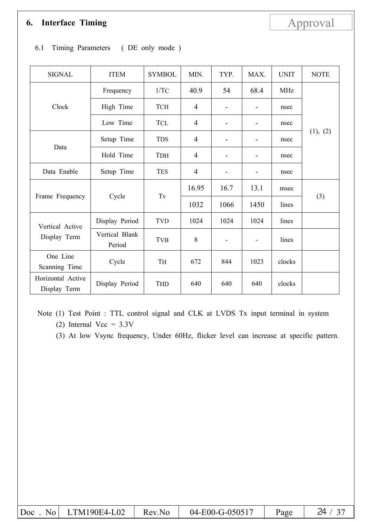## **6. Interface Timing** Approval

| <b>SIGNAL</b>                     | <b>ITEM</b>              | <b>SYMBOL</b> | MIN.           | TYP.           | MAX.                     | <b>UNIT</b> | <b>NOTE</b> |  |
|-----------------------------------|--------------------------|---------------|----------------|----------------|--------------------------|-------------|-------------|--|
|                                   | Frequency                | 1/TC          | 40.9           | 54             | 68.4                     | <b>MHz</b>  |             |  |
| Clock                             | High Time                | <b>TCH</b>    | $\overline{4}$ |                |                          | nsec        |             |  |
|                                   | Low Time                 | <b>TCL</b>    | $\overline{4}$ | -              | $\overline{\phantom{a}}$ | nsec        |             |  |
|                                   | Setup Time               | <b>TDS</b>    | $\overline{4}$ | -              | $\overline{\phantom{0}}$ | nsec        | (1), (2)    |  |
| Data                              | Hold Time                | <b>TDH</b>    | $\overline{4}$ | $\blacksquare$ | $\overline{\phantom{a}}$ | nsec        |             |  |
| Data Enable                       | Setup Time               | <b>TES</b>    | $\overline{4}$ | -              |                          | nsec        |             |  |
|                                   |                          |               | 16.95          | 16.7           | 13.1                     | msec        |             |  |
| Frame Frequency                   | Cycle                    | $T\mathbf{v}$ | 1032           | 1066           | 1450                     | lines       | (3)         |  |
| Vertical Active                   | Display Period           | <b>TVD</b>    | 1024           | 1024           | 1024                     | lines       |             |  |
| Display Term                      | Vertical Blank<br>Period | <b>TVB</b>    | 8              |                | $\blacksquare$           | lines       |             |  |
| One Line<br>Scanning Time         | Cycle                    | TH            | 672            | 844            | 1023                     | clocks      |             |  |
| Horizontal Active<br>Display Term | Display Period           | <b>THD</b>    | 640            | 640            | 640                      | clocks      |             |  |

### 6.1 Timing Parameters ( DE only mode )

Note (1) Test Point : TTL control signal and CLK at LVDS Tx input terminal in system (2) Internal Vcc =  $3.3V$ 

(3) At low Vsync frequency, Under 60Hz, flicker level can increase at specific pattern.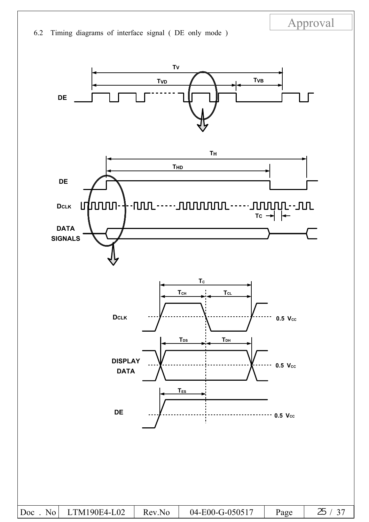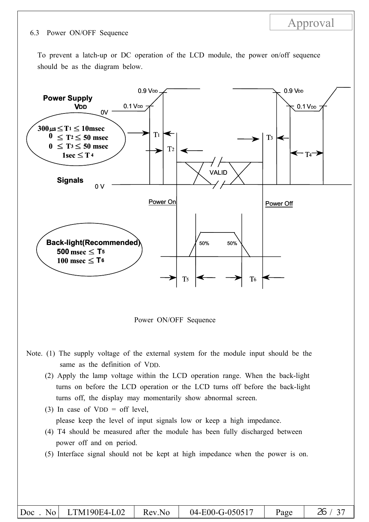#### 6.3 Power ON/OFF Sequence

To prevent a latch-up or DC operation of the LCD module, the power on/off sequence should be as the diagram below.

Approval



Power ON/OFF Sequence

- Note. (1) The supply voltage of the external system for the module input should be the same as the definition of VDD.
	- (2) Apply the lamp voltage within the LCD operation range. When the back-light turns on before the LCD operation or the LCD turns off before the back-light turns off, the display may momentarily show abnormal screen.
	- (3) In case of  $VDD =$  off level,

please keep the level of input signals low or keep a high impedance.

- (4) T4 should be measured after the module has been fully discharged between power off and on period.
- (5) Interface signal should not be kept at high impedance when the power is on.

|  | $ Doc$ . No LTM190E4-L02 | Rev.No | 04-E00-G-050517 | Page |  |
|--|--------------------------|--------|-----------------|------|--|
|--|--------------------------|--------|-----------------|------|--|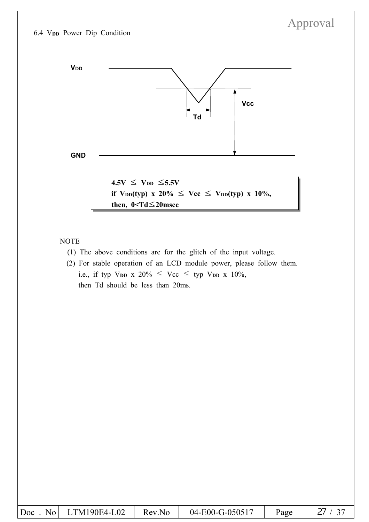

NOTE

- (1) The above conditions are for the glitch of the input voltage.
- (2) For stable operation of an LCD module power, please follow them. i.e., if typ V<sub>DD</sub> x 20%  $\leq$  Vcc  $\leq$  typ V<sub>DD</sub> x 10%, then Td should be less than 20ms.

| Doc<br>$N_{0}$ | LTM190E4-L02 | Rev.No | 04-E00-G-050517 | Page |  |
|----------------|--------------|--------|-----------------|------|--|
|----------------|--------------|--------|-----------------|------|--|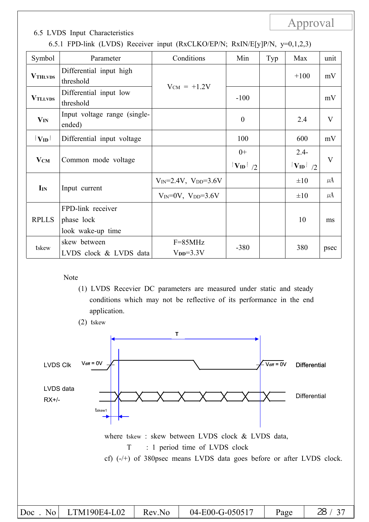### 6.5 LVDS Input Characteristics

| Symbol            | Parameter                              | Conditions                        | Min                   | Typ | Max                     | unit    |
|-------------------|----------------------------------------|-----------------------------------|-----------------------|-----|-------------------------|---------|
| <b>VTHLVDS</b>    | Differential input high<br>threshold   | $V_{CM}$ = +1.2V                  |                       |     | $+100$                  | mV      |
| <b>VTLLVDS</b>    | Differential input low<br>threshold    |                                   | $-100$                |     |                         | mV      |
| $V_{IN}$          | Input voltage range (single-<br>ended) |                                   | $\boldsymbol{0}$      |     | 2.4                     | V       |
| $ V_{\rm ID} $    | Differential input voltage             |                                   | 100                   |     | 600                     | mV      |
| $V_{CM}$          | Common mode voltage                    |                                   | $0+$<br>$ V_{ID} $ /2 |     | $2.4-$<br>$ V_{ID} $ /2 | V       |
|                   |                                        | $V_{IN} = 2.4V$ , $V_{DD} = 3.6V$ |                       |     | $\pm 10$                | $\mu$ A |
| $\mathbf{I}_{IN}$ | Input current                          | $V_{IN} = 0V$ , $V_{DD} = 3.6V$   |                       |     | $\pm 10$                | $\mu$ A |
|                   | FPD-link receiver                      |                                   |                       |     |                         |         |
| <b>RPLLS</b>      | phase lock                             |                                   |                       |     | 10                      | ms      |
|                   | look wake-up time                      |                                   |                       |     |                         |         |
| tskew             | skew between                           | $F = 85MHz$                       | $-380$                |     | 380                     |         |
|                   | LVDS clock & LVDS data                 | $VDD=3.3V$                        |                       |     |                         | psec    |

#### Note

- (1) LVDS Recevier DC parameters are measured under static and steady conditions which may not be reflective of its performance in the end application.
- (2) tskew

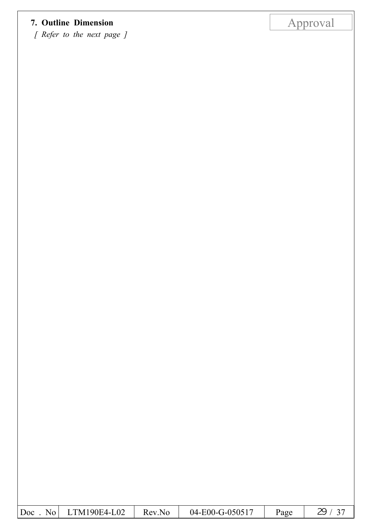# **7. Outline Dimension** Approval

*[ Refer to the next page ]*

| $LTM190E4-L02$<br>$\overline{D}$ oc<br>No  <br>Rev.No | 04-E00-G-050517 | Page |  |
|-------------------------------------------------------|-----------------|------|--|
|-------------------------------------------------------|-----------------|------|--|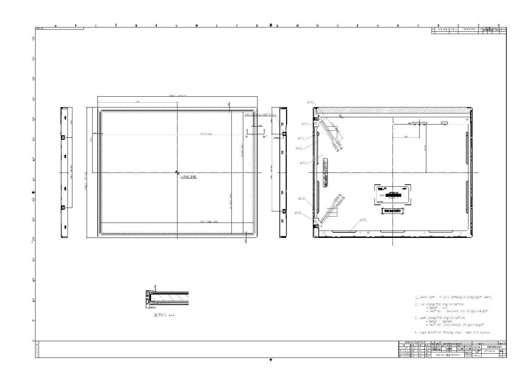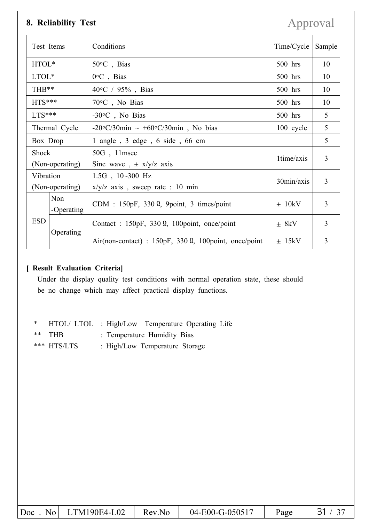|                                                           | 8. Reliability Test                                                                       |                                                                     | Approval   |        |
|-----------------------------------------------------------|-------------------------------------------------------------------------------------------|---------------------------------------------------------------------|------------|--------|
| Test Items                                                |                                                                                           | Conditions                                                          | Time/Cycle | Sample |
| HTOL*                                                     |                                                                                           | $50^{\circ}$ C, Bias                                                | $500$ hrs  | 10     |
|                                                           | $0^{\circ}$ C, Bias<br>LTOL*                                                              |                                                                     | $500$ hrs  | 10     |
| THB**                                                     | $40^{\circ}$ C / 95%, Bias                                                                |                                                                     | $500$ hrs  | 10     |
|                                                           | $HTS***$<br>$70^{\circ}$ C, No Bias                                                       |                                                                     | $500$ hrs  | 10     |
|                                                           | $LTS***$<br>$-30$ °C, No Bias                                                             |                                                                     | 500 hrs    | 5      |
| Thermal Cycle<br>-20°C/30min $\sim +60$ °C/30min, No bias |                                                                                           |                                                                     | 100 cycle  | 5      |
| Box Drop                                                  |                                                                                           | 1 angle, 3 edge, 6 side, 66 cm                                      |            | 5      |
| Shock<br>(Non-operating)                                  |                                                                                           | 50G, 11msec<br>Sine wave, $\pm$ x/y/z axis                          | 1time/axis | 3      |
|                                                           | Vibration<br>$1.5G$ , $10~300$ Hz<br>(Non-operating)<br>$x/y/z$ axis, sweep rate : 10 min |                                                                     | 30min/axis | 3      |
|                                                           | Non<br>-Operating                                                                         | CDM : $150pF$ , $330 \Omega$ , 9point, 3 times/point                | $+ 10kV$   | 3      |
| <b>ESD</b>                                                |                                                                                           | Contact : $150pF$ , $330 \Omega$ , $100point$ , once/point          | $\pm$ 8kV  | 3      |
|                                                           | Operating                                                                                 | Air(non-contact) : $150pF$ , $330 \Omega$ , $100point$ , once/point | $+ 15kV$   | 3      |

### **[ Result Evaluation Criteria]**

Under the display quality test conditions with normal operation state, these should be no change which may affect practical display functions.

|               | * HTOL/LTOL: High/Low Temperature Operating Life |
|---------------|--------------------------------------------------|
| $**$ THB      | : Temperature Humidity Bias                      |
| $***$ HTS/LTS | : High/Low Temperature Storage                   |

| $\vert$ Doc<br>$\mathbf{N_0}$ | $LTM190E4-L02$ | Rev.No | 04-E00-G-050517 | Page |  |
|-------------------------------|----------------|--------|-----------------|------|--|
|-------------------------------|----------------|--------|-----------------|------|--|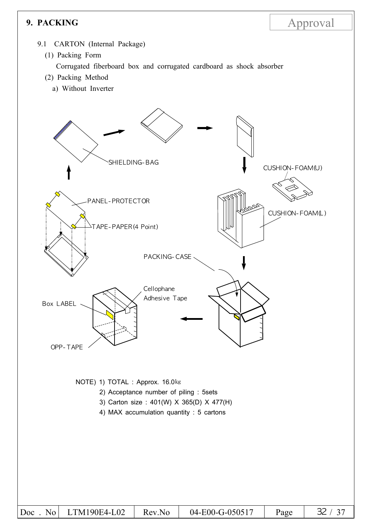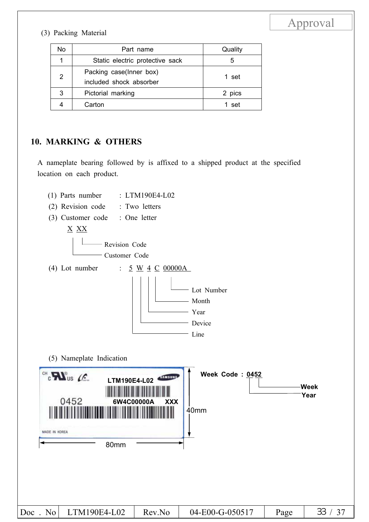### (3) Packing Material

| No | Part name                                          | Quality |
|----|----------------------------------------------------|---------|
|    | Static electric protective sack                    | 5       |
| 2  | Packing case(Inner box)<br>included shock absorber | 1 set   |
| 3  | Pictorial marking                                  | 2 pics  |
|    | Carton                                             | set     |

### **10. MARKING & OTHERS**

A nameplate bearing followed by is affixed to a shipped product at the specified location on each product.

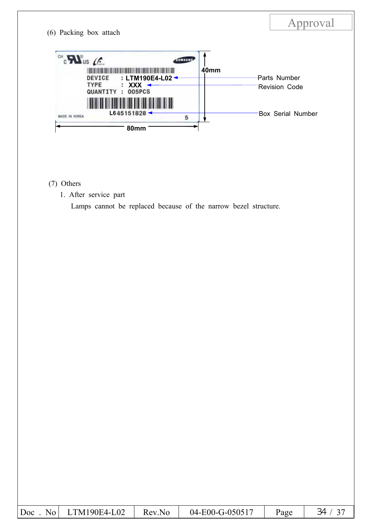

### (7) Others

1. After service part

Lamps cannot be replaced because of the narrow bezel structure.

| 04-E00-G-050517<br>$LTM190E4-L02$<br>Doc<br>Rev.No<br>$N_0$<br>Page |
|---------------------------------------------------------------------|
|---------------------------------------------------------------------|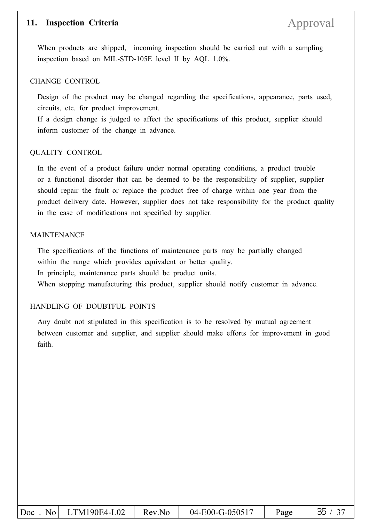### **11. Inspection Criteria** Approval

When products are shipped, incoming inspection should be carried out with a sampling inspection based on MIL-STD-105E level II by AQL 1.0%.

#### CHANGE CONTROL

Design of the product may be changed regarding the specifications, appearance, parts used, circuits, etc. for product improvement.

If a design change is judged to affect the specifications of this product, supplier should inform customer of the change in advance.

#### QUALITY CONTROL

In the event of a product failure under normal operating conditions, a product trouble or a functional disorder that can be deemed to be the responsibility of supplier, supplier should repair the fault or replace the product free of charge within one year from the product delivery date. However, supplier does not take responsibility for the product quality in the case of modifications not specified by supplier.

#### MAINTENANCE

The specifications of the functions of maintenance parts may be partially changed within the range which provides equivalent or better quality. In principle, maintenance parts should be product units. When stopping manufacturing this product, supplier should notify customer in advance.

### HANDLING OF DOUBTFUL POINTS

Any doubt not stipulated in this specification is to be resolved by mutual agreement between customer and supplier, and supplier should make efforts for improvement in good faith.

| $\vert$ Doc | No LTM190E4-L02 | Rev.No | 04-E00-G-050517 | Page |  |
|-------------|-----------------|--------|-----------------|------|--|
|-------------|-----------------|--------|-----------------|------|--|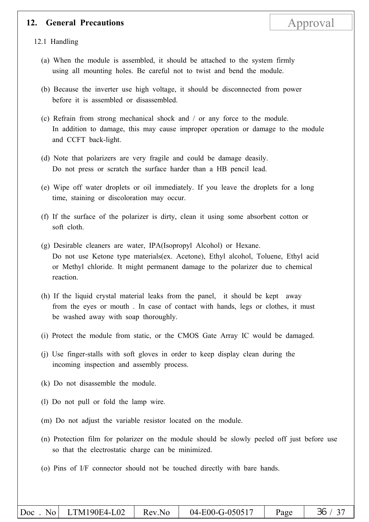### **12. General Precautions** Approval

12.1 Handling

- (a) When the module is assembled, it should be attached to the system firmly using all mounting holes. Be careful not to twist and bend the module.
- (b) Because the inverter use high voltage, it should be disconnected from power before it is assembled or disassembled.
- (c) Refrain from strong mechanical shock and / or any force to the module. In addition to damage, this may cause improper operation or damage to the module and CCFT back-light.
- (d) Note that polarizers are very fragile and could be damage deasily. Do not press or scratch the surface harder than a HB pencil lead.
- (e) Wipe off water droplets or oil immediately. If you leave the droplets for a long time, staining or discoloration may occur.
- (f) If the surface of the polarizer is dirty, clean it using some absorbent cotton or soft cloth.
- (g) Desirable cleaners are water, IPA(Isopropyl Alcohol) or Hexane. Do not use Ketone type materials(ex. Acetone), Ethyl alcohol, Toluene, Ethyl acid or Methyl chloride. It might permanent damage to the polarizer due to chemical reaction.
- (h) If the liquid crystal material leaks from the panel, it should be kept away from the eyes or mouth . In case of contact with hands, legs or clothes, it must be washed away with soap thoroughly.
- (i) Protect the module from static, or the CMOS Gate Array IC would be damaged.
- (j) Use finger-stalls with soft gloves in order to keep display clean during the incoming inspection and assembly process.
- (k) Do not disassemble the module.
- (l) Do not pull or fold the lamp wire.
- (m) Do not adjust the variable resistor located on the module.
- (n) Protection film for polarizer on the module should be slowly peeled off just before use so that the electrostatic charge can be minimized.
- (o) Pins of I/F connector should not be touched directly with bare hands.

|  | $ Doc$ . No LTM190E4-L02 | Rev.No | 04-E00-G-050517 | Page | 36 / 37 |
|--|--------------------------|--------|-----------------|------|---------|
|--|--------------------------|--------|-----------------|------|---------|